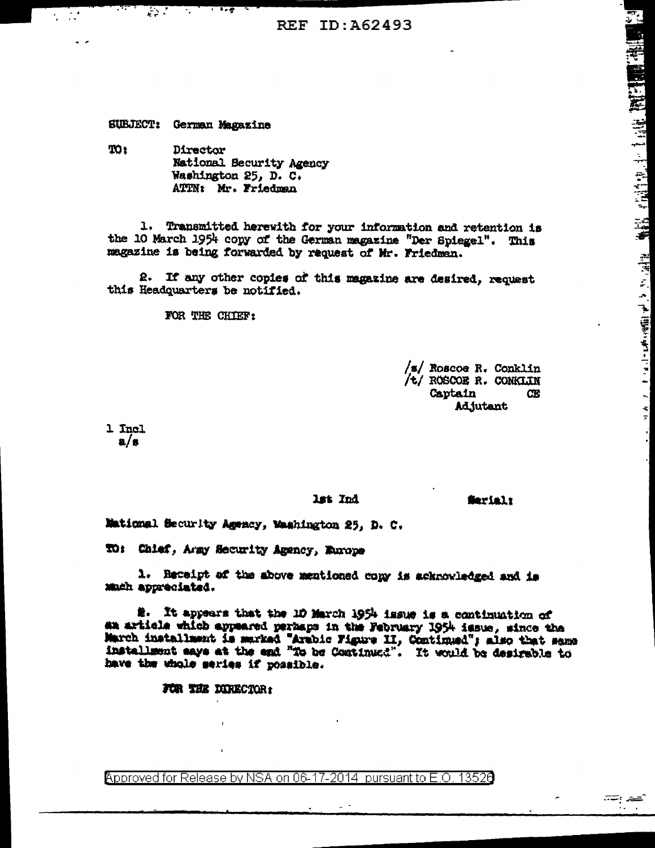REF ID: A62493

SUBJECT: German Magazine

 $\mathcal{L}^{\text{max}}$ 

 $\mathcal{L} = \mathcal{L}$ 

TO<sub>1</sub> Director National Security Agency Washington 25, D. C. ATTN: Mr. Friedman

 $\overline{1}$ .

1. Transmitted herewith for your information and retention is the 10 March 1954 copy of the German magazine "Der Spiegel". This magazine is being forwarded by request of Mr. Friedman.

2. If any other copies of this magazine are desired, request this Headquarters be notified.

FOR THE CHIEF:

 $/s/$  Roscoe R. Conklin /t/ ROSCOE R. CONKLIN Captain **CE Adjutant** 

 $\blacksquare$ 

1 Incl  $a/s$ 

lat Ind

**Serial:** 

Mational Security Agency, Mashington 25, D. C.

TO: Chlef, Army Security Agency, Europe

1. Receipt of the above mentioned copy is acknowledged and is much appreciated.

2. It appears that the 10 March 1954 issue is a continuation of an article which appeared perhaps in the February 1954 issue, since the March installment is marked "Arabic Figure II, Continued"; also that same installment anys at the end "To be Continued". It would be desirable to have the whole series if possible.

FOR THE DIRECTOR:

Approved for Release by NSA on 06-17-2014 pursuant to E.O. 13520